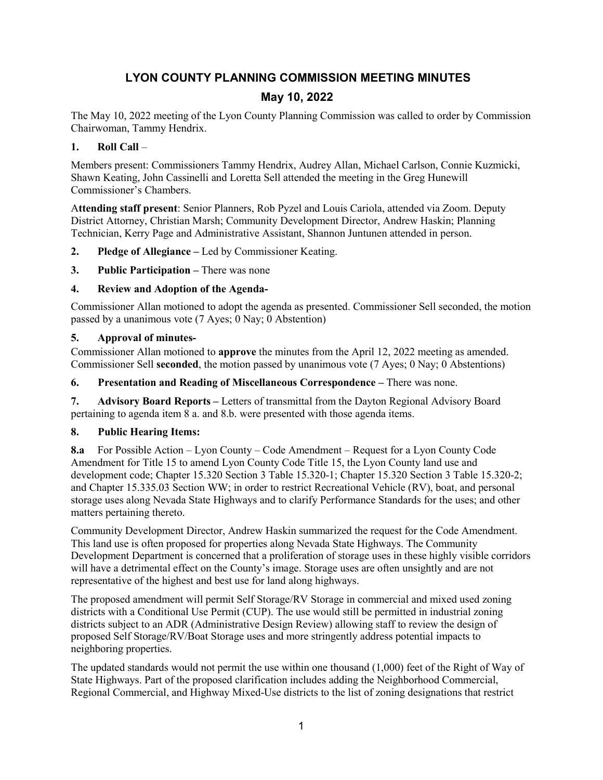# **LYON COUNTY PLANNING COMMISSION MEETING MINUTES**

# **May 10, 2022**

The May 10, 2022 meeting of the Lyon County Planning Commission was called to order by Commission Chairwoman, Tammy Hendrix.

# **1. Roll Call** –

Members present: Commissioners Tammy Hendrix, Audrey Allan, Michael Carlson, Connie Kuzmicki, Shawn Keating, John Cassinelli and Loretta Sell attended the meeting in the Greg Hunewill Commissioner's Chambers.

A**ttending staff present**: Senior Planners, Rob Pyzel and Louis Cariola, attended via Zoom. Deputy District Attorney, Christian Marsh; Community Development Director, Andrew Haskin; Planning Technician, Kerry Page and Administrative Assistant, Shannon Juntunen attended in person.

- **2. Pledge of Allegiance –** Led by Commissioner Keating.
- **3. Public Participation –** There was none

### **4. Review and Adoption of the Agenda-**

Commissioner Allan motioned to adopt the agenda as presented. Commissioner Sell seconded, the motion passed by a unanimous vote (7 Ayes; 0 Nay; 0 Abstention)

### **5. Approval of minutes-**

Commissioner Allan motioned to **approve** the minutes from the April 12, 2022 meeting as amended. Commissioner Sell **seconded**, the motion passed by unanimous vote (7 Ayes; 0 Nay; 0 Abstentions)

**6. Presentation and Reading of Miscellaneous Correspondence –** There was none.

**7. Advisory Board Reports –** Letters of transmittal from the Dayton Regional Advisory Board pertaining to agenda item 8 a. and 8.b. were presented with those agenda items.

# **8. Public Hearing Items:**

**8.a** For Possible Action – Lyon County – Code Amendment – Request for a Lyon County Code Amendment for Title 15 to amend Lyon County Code Title 15, the Lyon County land use and development code; Chapter 15.320 Section 3 Table 15.320-1; Chapter 15.320 Section 3 Table 15.320-2; and Chapter 15.335.03 Section WW; in order to restrict Recreational Vehicle (RV), boat, and personal storage uses along Nevada State Highways and to clarify Performance Standards for the uses; and other matters pertaining thereto.

Community Development Director, Andrew Haskin summarized the request for the Code Amendment. This land use is often proposed for properties along Nevada State Highways. The Community Development Department is concerned that a proliferation of storage uses in these highly visible corridors will have a detrimental effect on the County's image. Storage uses are often unsightly and are not representative of the highest and best use for land along highways.

The proposed amendment will permit Self Storage/RV Storage in commercial and mixed used zoning districts with a Conditional Use Permit (CUP). The use would still be permitted in industrial zoning districts subject to an ADR (Administrative Design Review) allowing staff to review the design of proposed Self Storage/RV/Boat Storage uses and more stringently address potential impacts to neighboring properties.

The updated standards would not permit the use within one thousand (1,000) feet of the Right of Way of State Highways. Part of the proposed clarification includes adding the Neighborhood Commercial, Regional Commercial, and Highway Mixed-Use districts to the list of zoning designations that restrict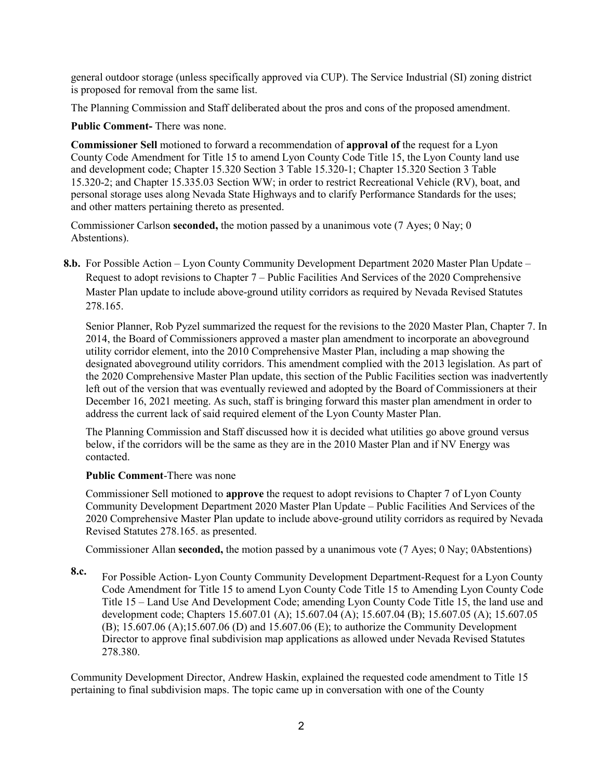general outdoor storage (unless specifically approved via CUP). The Service Industrial (SI) zoning district is proposed for removal from the same list.

The Planning Commission and Staff deliberated about the pros and cons of the proposed amendment.

**Public Comment-** There was none.

**Commissioner Sell** motioned to forward a recommendation of **approval of** the request for a Lyon County Code Amendment for Title 15 to amend Lyon County Code Title 15, the Lyon County land use and development code; Chapter 15.320 Section 3 Table 15.320-1; Chapter 15.320 Section 3 Table 15.320-2; and Chapter 15.335.03 Section WW; in order to restrict Recreational Vehicle (RV), boat, and personal storage uses along Nevada State Highways and to clarify Performance Standards for the uses; and other matters pertaining thereto as presented.

Commissioner Carlson **seconded,** the motion passed by a unanimous vote (7 Ayes; 0 Nay; 0 Abstentions).

**8.b.** For Possible Action – Lyon County Community Development Department 2020 Master Plan Update – Request to adopt revisions to Chapter 7 – Public Facilities And Services of the 2020 Comprehensive Master Plan update to include above-ground utility corridors as required by Nevada Revised Statutes 278.165.

Senior Planner, Rob Pyzel summarized the request for the revisions to the 2020 Master Plan, Chapter 7. In 2014, the Board of Commissioners approved a master plan amendment to incorporate an aboveground utility corridor element, into the 2010 Comprehensive Master Plan, including a map showing the designated aboveground utility corridors. This amendment complied with the 2013 legislation. As part of the 2020 Comprehensive Master Plan update, this section of the Public Facilities section was inadvertently left out of the version that was eventually reviewed and adopted by the Board of Commissioners at their December 16, 2021 meeting. As such, staff is bringing forward this master plan amendment in order to address the current lack of said required element of the Lyon County Master Plan.

The Planning Commission and Staff discussed how it is decided what utilities go above ground versus below, if the corridors will be the same as they are in the 2010 Master Plan and if NV Energy was contacted.

# **Public Comment**-There was none

Commissioner Sell motioned to **approve** the request to adopt revisions to Chapter 7 of Lyon County Community Development Department 2020 Master Plan Update – Public Facilities And Services of the 2020 Comprehensive Master Plan update to include above-ground utility corridors as required by Nevada Revised Statutes 278.165. as presented.

Commissioner Allan **seconded,** the motion passed by a unanimous vote (7 Ayes; 0 Nay; 0Abstentions)

**8.c.** For Possible Action- Lyon County Community Development Department-Request for a Lyon County Code Amendment for Title 15 to amend Lyon County Code Title 15 to Amending Lyon County Code Title 15 – Land Use And Development Code; amending Lyon County Code Title 15, the land use and development code; Chapters 15.607.01 (A); 15.607.04 (A); 15.607.04 (B); 15.607.05 (A); 15.607.05 (B); 15.607.06 (A);15.607.06 (D) and 15.607.06 (E); to authorize the Community Development Director to approve final subdivision map applications as allowed under Nevada Revised Statutes 278.380.

Community Development Director, Andrew Haskin, explained the requested code amendment to Title 15 pertaining to final subdivision maps. The topic came up in conversation with one of the County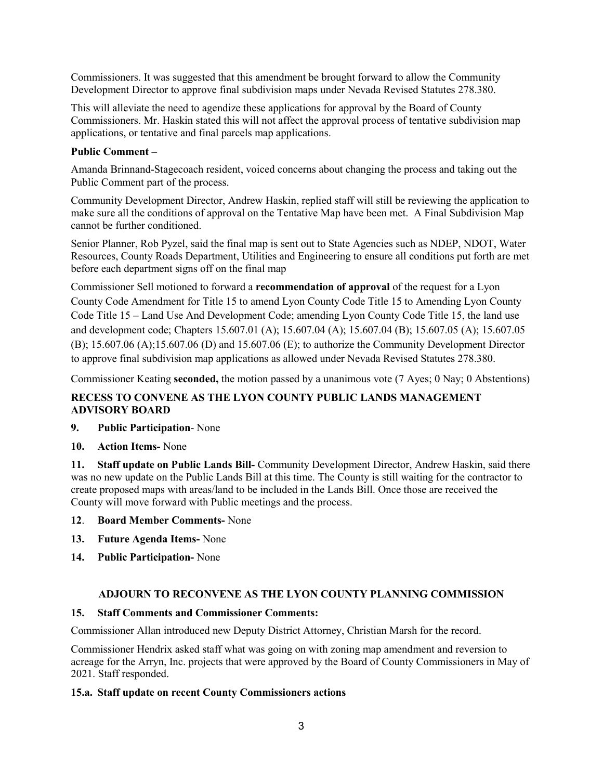Commissioners. It was suggested that this amendment be brought forward to allow the Community Development Director to approve final subdivision maps under Nevada Revised Statutes 278.380.

This will alleviate the need to agendize these applications for approval by the Board of County Commissioners. Mr. Haskin stated this will not affect the approval process of tentative subdivision map applications, or tentative and final parcels map applications.

### **Public Comment –**

Amanda Brinnand-Stagecoach resident, voiced concerns about changing the process and taking out the Public Comment part of the process.

Community Development Director, Andrew Haskin, replied staff will still be reviewing the application to make sure all the conditions of approval on the Tentative Map have been met. A Final Subdivision Map cannot be further conditioned.

Senior Planner, Rob Pyzel, said the final map is sent out to State Agencies such as NDEP, NDOT, Water Resources, County Roads Department, Utilities and Engineering to ensure all conditions put forth are met before each department signs off on the final map

Commissioner Sell motioned to forward a **recommendation of approval** of the request for a Lyon County Code Amendment for Title 15 to amend Lyon County Code Title 15 to Amending Lyon County Code Title 15 – Land Use And Development Code; amending Lyon County Code Title 15, the land use and development code; Chapters 15.607.01 (A); 15.607.04 (A); 15.607.04 (B); 15.607.05 (A); 15.607.05 (B); 15.607.06 (A);15.607.06 (D) and 15.607.06 (E); to authorize the Community Development Director to approve final subdivision map applications as allowed under Nevada Revised Statutes 278.380.

Commissioner Keating **seconded,** the motion passed by a unanimous vote (7 Ayes; 0 Nay; 0 Abstentions)

# **RECESS TO CONVENE AS THE LYON COUNTY PUBLIC LANDS MANAGEMENT ADVISORY BOARD**

# **9. Public Participation**- None

**10. Action Items-** None

**11. Staff update on Public Lands Bill-** Community Development Director, Andrew Haskin, said there was no new update on the Public Lands Bill at this time. The County is still waiting for the contractor to create proposed maps with areas/land to be included in the Lands Bill. Once those are received the County will move forward with Public meetings and the process.

- **12**. **Board Member Comments-** None
- **13. Future Agenda Items-** None
- **14. Public Participation-** None

# **ADJOURN TO RECONVENE AS THE LYON COUNTY PLANNING COMMISSION**

### **15. Staff Comments and Commissioner Comments:**

Commissioner Allan introduced new Deputy District Attorney, Christian Marsh for the record.

Commissioner Hendrix asked staff what was going on with zoning map amendment and reversion to acreage for the Arryn, Inc. projects that were approved by the Board of County Commissioners in May of 2021. Staff responded.

### **15.a. Staff update on recent County Commissioners actions**